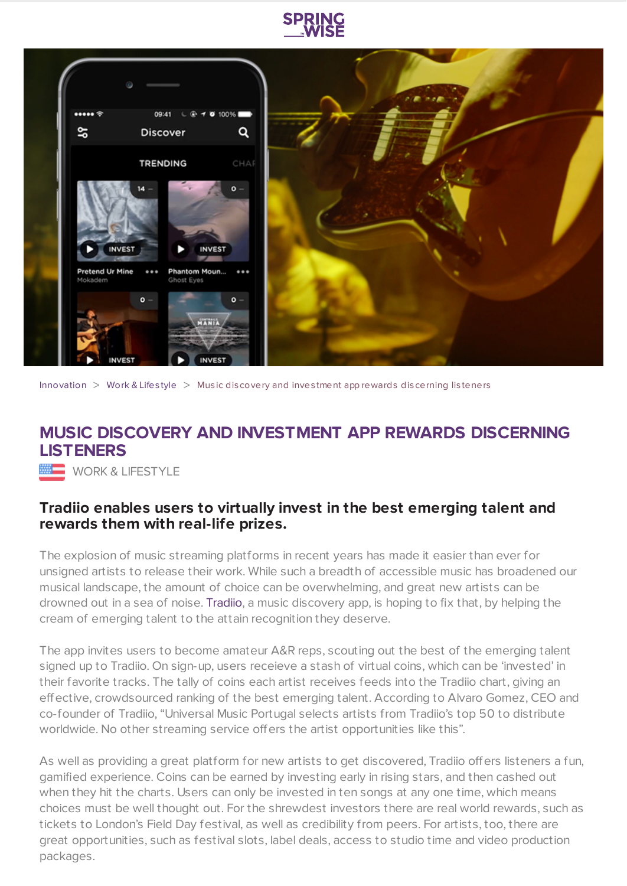



[Innovation](https://www.springwise.com/search?type=innovation)  $>$  [Work](https://www.springwise.com/search?type=innovation§or=work-lifestyle) & Lifestyle  $>$  Music discovery and investment app rewards discerning listeners

## **MUSIC DISCOVERY AND INVESTMENT APP REWARDS DISCERNING LISTENERS**

**WORK & LIFESTYLE** 

## **Tradiio enables users to virtually invest in the best emerging talent and rewards them with real-life prizes.**

The explosion of music streaming platforms in recent years has made it easier than ever for unsigned artists to release their work. While such a breadth of accessible music has broadened our musical landscape, the amount of choice can be overwhelming, and great new artists can be drowned out in a sea of noise. [Tradiio,](http://tradiio.com/) a music discovery app, is hoping to fix that, by helping the cream of emerging talent to the attain recognition they deserve.

The app invites users to become amateur A&R reps, scouting out the best of the emerging talent signed up to Tradiio. On sign-up, users receieve a stash of virtual coins, which can be 'invested' in their favorite tracks. The tally of coins each artist receives feeds into the Tradiio chart, giving an effective, crowdsourced ranking of the best emerging talent. According to Alvaro Gomez, CEO and co-founder of Tradiio, "Universal Music Portugal selects artists from Tradiio's top 50 to distribute worldwide. No other streaming service offers the artist opportunities like this".

As well as providing a great platform for new artists to get discovered, Tradiio offers listeners a fun, gamified experience. Coins can be earned by investing early in rising stars, and then cashed out when they hit the charts. Users can only be invested in ten songs at any one time, which means choices must be well thought out. For the shrewdest investors there are real world rewards, such as tickets to London's Field Day festival, as well as credibility from peers. For artists, too, there are great opportunities, such as festival slots, label deals, access to studio time and video production packages.